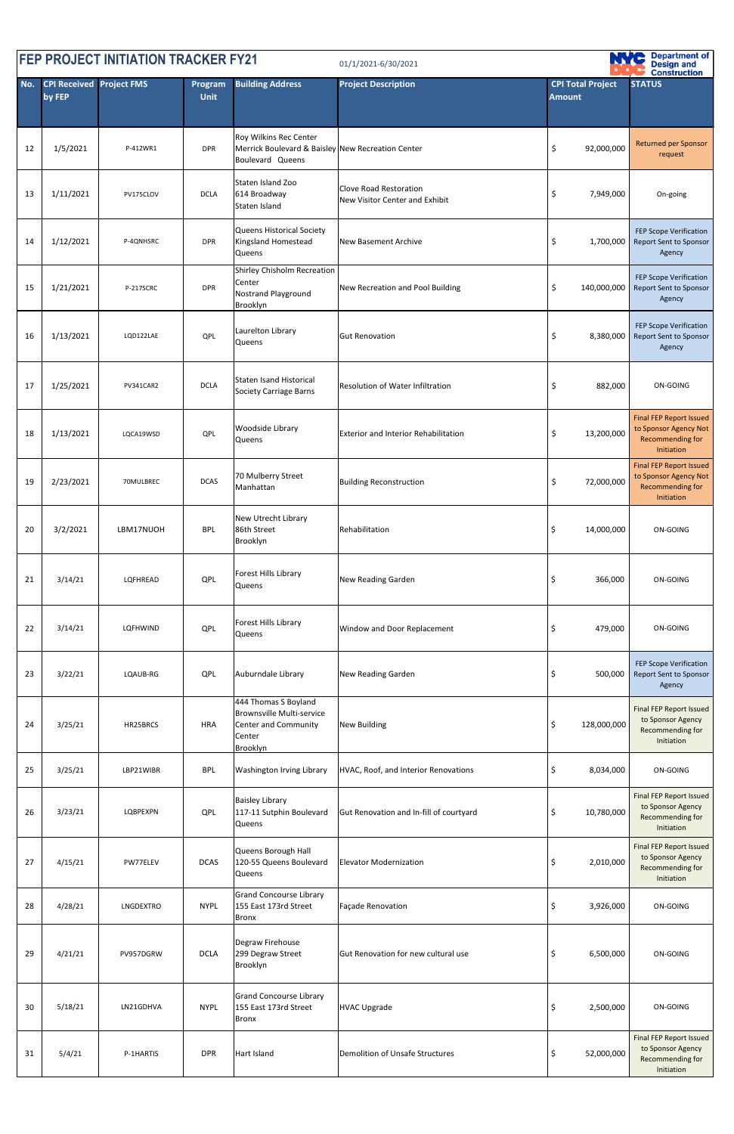| <b>FEP PROJECT INITIATION TRACKER FY21</b><br>01/1/2021-6/30/2021 |                                           |           |                        |                                                                                                        |                                                                 |                                           |                                                                                           |
|-------------------------------------------------------------------|-------------------------------------------|-----------|------------------------|--------------------------------------------------------------------------------------------------------|-----------------------------------------------------------------|-------------------------------------------|-------------------------------------------------------------------------------------------|
| No.                                                               | <b>CPI Received Project FMS</b><br>by FEP |           | Program<br><b>Unit</b> | <b>Building Address</b>                                                                                | <b>Project Description</b>                                      | <b>CPI Total Project</b><br><b>Amount</b> | <b>Construction</b><br><b>STATUS</b>                                                      |
| 12                                                                | 1/5/2021                                  | P-412WR1  | <b>DPR</b>             | Roy Wilkins Rec Center<br>Merrick Boulevard & Baisley New Recreation Center<br>Boulevard Queens        |                                                                 | \$<br>92,000,000                          | <b>Returned per Sponsor</b><br>request                                                    |
| 13                                                                | 1/11/2021                                 | PV175CLOV | <b>DCLA</b>            | Staten Island Zoo<br>614 Broadway<br>Staten Island                                                     | <b>Clove Road Restoration</b><br>New Visitor Center and Exhibit | \$<br>7,949,000                           | On-going                                                                                  |
| 14                                                                | 1/12/2021                                 | P-4QNHSRC | <b>DPR</b>             | Queens Historical Society<br>Kingsland Homestead<br>Queens                                             | <b>New Basement Archive</b>                                     | \$<br>1,700,000                           | FEP Scope Verification<br><b>Report Sent to Sponsor</b><br>Agency                         |
| 15                                                                | 1/21/2021                                 | P-217SCRC | <b>DPR</b>             | <b>Shirley Chisholm Recreation</b><br>Center<br><b>Nostrand Playground</b><br>Brooklyn                 | New Recreation and Pool Building                                | 140,000,000<br>\$                         | FEP Scope Verification<br><b>Report Sent to Sponsor</b><br>Agency                         |
| 16                                                                | 1/13/2021                                 | LQD122LAE | QPL                    | Laurelton Library<br>Queens                                                                            | <b>Gut Renovation</b>                                           | \$<br>8,380,000                           | FEP Scope Verification<br><b>Report Sent to Sponsor</b><br>Agency                         |
| 17                                                                | 1/25/2021                                 | PV341CAR2 | <b>DCLA</b>            | <b>Staten Isand Historical</b><br><b>Society Carriage Barns</b>                                        | <b>Resolution of Water Infiltration</b>                         | \$<br>882,000                             | ON-GOING                                                                                  |
| 18                                                                | 1/13/2021                                 | LQCA19WSD | <b>QPL</b>             | Woodside Library<br>Queens                                                                             | <b>Exterior and Interior Rehabilitation</b>                     | \$<br>13,200,000                          | <b>Final FEP Report Issued</b><br>to Sponsor Agency Not<br>Recommending for<br>Initiation |
| 19                                                                | 2/23/2021                                 | 70MULBREC | <b>DCAS</b>            | 70 Mulberry Street<br>Manhattan                                                                        | <b>Building Reconstruction</b>                                  | 72,000,000<br>\$                          | <b>Final FEP Report Issued</b><br>to Sponsor Agency Not<br>Recommending for<br>Initiation |
| 20                                                                | 3/2/2021                                  | LBM17NUOH | <b>BPL</b>             | New Utrecht Library<br>86th Street<br>Brooklyn                                                         | Rehabilitation                                                  | \$<br>14,000,000                          | ON-GOING                                                                                  |
| 21                                                                | 3/14/21                                   | LQFHREAD  | QPL                    | Forest Hills Library<br>Queens                                                                         | <b>New Reading Garden</b>                                       | \$<br>366,000                             | ON-GOING                                                                                  |
| 22                                                                | 3/14/21                                   | LQFHWIND  | QPL                    | Forest Hills Library<br>Queens                                                                         | Window and Door Replacement                                     | \$<br>479,000                             | ON-GOING                                                                                  |
| 23                                                                | 3/22/21                                   | LQAUB-RG  | QPL                    | Auburndale Library                                                                                     | <b>New Reading Garden</b>                                       | 500,000<br>S                              | FEP Scope Verification<br><b>Report Sent to Sponsor</b><br>Agency                         |
| 24                                                                | 3/25/21                                   | HR25BRCS  | <b>HRA</b>             | 444 Thomas S Boyland<br><b>Brownsville Multi-service</b><br>Center and Community<br>Center<br>Brooklyn | <b>New Building</b>                                             | 128,000,000<br>\$                         | <b>Final FEP Report Issued</b><br>to Sponsor Agency<br>Recommending for<br>Initiation     |
| 25                                                                | 3/25/21                                   | LBP21WIBR | <b>BPL</b>             | <b>Washington Irving Library</b>                                                                       | HVAC, Roof, and Interior Renovations                            | \$<br>8,034,000                           | ON-GOING                                                                                  |
| 26                                                                | 3/23/21                                   | LQBPEXPN  | QPL                    | <b>Baisley Library</b><br>117-11 Sutphin Boulevard<br>Queens                                           | Gut Renovation and In-fill of courtyard                         | 10,780,000<br>\$                          | Final FEP Report Issued<br>to Sponsor Agency<br>Recommending for<br>Initiation            |
| 27                                                                | 4/15/21                                   | PW77ELEV  | <b>DCAS</b>            | Queens Borough Hall<br>120-55 Queens Boulevard<br>Queens                                               | <b>Elevator Modernization</b>                                   | 2,010,000<br>\$                           | <b>Final FEP Report Issued</b><br>to Sponsor Agency<br>Recommending for<br>Initiation     |
| 28                                                                | 4/28/21                                   | LNGDEXTRO | <b>NYPL</b>            | <b>Grand Concourse Library</b><br>155 East 173rd Street<br><b>Bronx</b>                                | Façade Renovation                                               | \$<br>3,926,000                           | ON-GOING                                                                                  |
| 29                                                                | 4/21/21                                   | PV957DGRW | <b>DCLA</b>            | Degraw Firehouse<br>299 Degraw Street<br>Brooklyn                                                      | Gut Renovation for new cultural use                             | \$<br>6,500,000                           | ON-GOING                                                                                  |
| 30                                                                | 5/18/21                                   | LN21GDHVA | <b>NYPL</b>            | <b>Grand Concourse Library</b><br>155 East 173rd Street<br><b>Bronx</b>                                | <b>HVAC Upgrade</b>                                             | \$<br>2,500,000                           | ON-GOING                                                                                  |
| 31                                                                | 5/4/21                                    | P-1HARTIS | <b>DPR</b>             | Hart Island                                                                                            | <b>Demolition of Unsafe Structures</b>                          | 52,000,000<br>\$                          | Final FEP Report Issued<br>to Sponsor Agency<br>Recommending for<br>Initiation            |